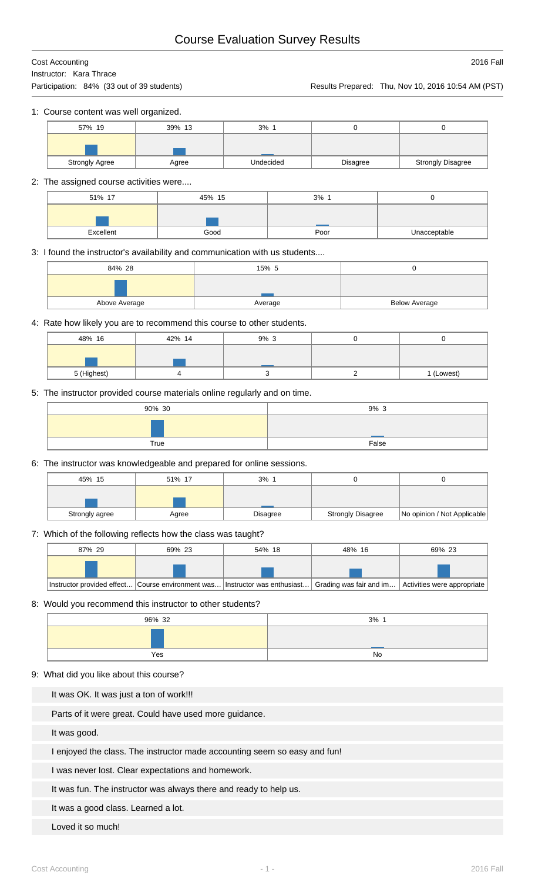#### Cost Accounting 2016 Fall Instructor: Kara Thrace

Participation: 84% (33 out of 39 students) Results Prepared: Thu, Nov 10, 2016 10:54 AM (PST)

1: Course content was well organized.

| 57% 19                | 39% 13 | 3%        |                 |                          |
|-----------------------|--------|-----------|-----------------|--------------------------|
|                       |        |           |                 |                          |
| <b>Strongly Agree</b> | Agree  | Undecided | <b>Disagree</b> | <b>Strongly Disagree</b> |

# 2: The assigned course activities were....

| 51% 17    | 45% 15 | 3%   |              |
|-----------|--------|------|--------------|
|           |        |      |              |
|           |        |      |              |
| Excellent | Good   | Poor | Unacceptable |

3: I found the instructor's availability and communication with us students....

| 84% 28        | 15% 5   |                      |
|---------------|---------|----------------------|
|               |         |                      |
| Above Average | Average | <b>Below Average</b> |

4: Rate how likely you are to recommend this course to other students.

| 48% 16      | 42% 14 | 9%3 |            |
|-------------|--------|-----|------------|
|             |        |     |            |
| 5 (Highest) |        |     | 1 (Lowest) |

#### 5: The instructor provided course materials online regularly and on time.

| 90% 30 | 9% 3  |
|--------|-------|
|        |       |
| True   | False |

6: The instructor was knowledgeable and prepared for online sessions.

| 45% 15         | 51% 17 | 3%              |                          |                             |
|----------------|--------|-----------------|--------------------------|-----------------------------|
|                |        |                 |                          |                             |
| Strongly agree | Agree  | <b>Disagree</b> | <b>Strongly Disagree</b> | No opinion / Not Applicable |

7: Which of the following reflects how the class was taught?

| 87% 29 | 69% 23 | 54% 18                                                                                                                          | 48% 16 | 69% 23 |
|--------|--------|---------------------------------------------------------------------------------------------------------------------------------|--------|--------|
|        |        |                                                                                                                                 |        |        |
|        |        | Instructor provided effect Course environment was Instructor was enthusiast Grading was fair and im Activities were appropriate |        |        |

### 8: Would you recommend this instructor to other students?

| 96% 32 | 3% 1 |
|--------|------|
|        |      |
| Yes    | No   |

#### 9: What did you like about this course?

It was OK. It was just a ton of work!!!

Parts of it were great. Could have used more guidance.

It was good.

I enjoyed the class. The instructor made accounting seem so easy and fun!

I was never lost. Clear expectations and homework.

It was fun. The instructor was always there and ready to help us.

It was a good class. Learned a lot.

Loved it so much!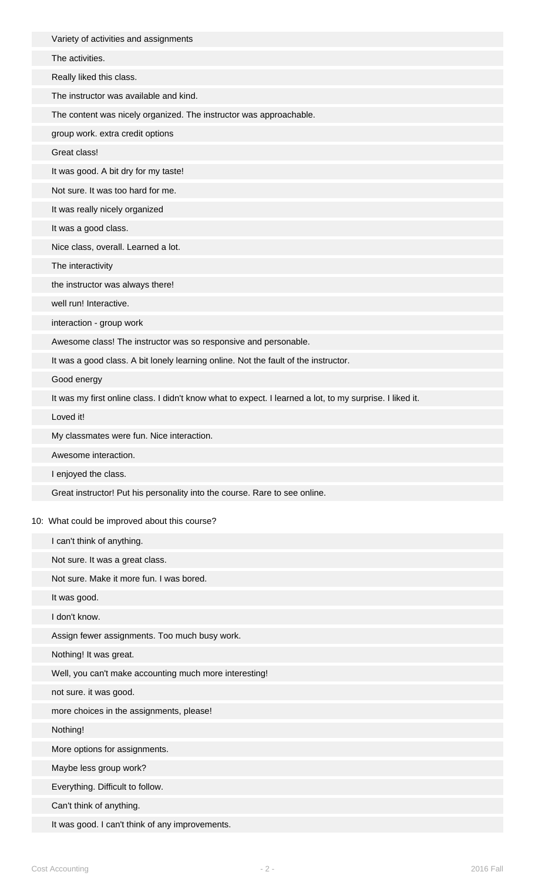| Variety of activities and assignments                                                                    |
|----------------------------------------------------------------------------------------------------------|
| The activities.                                                                                          |
| Really liked this class.                                                                                 |
| The instructor was available and kind.                                                                   |
| The content was nicely organized. The instructor was approachable.                                       |
| group work. extra credit options                                                                         |
| Great class!                                                                                             |
| It was good. A bit dry for my taste!                                                                     |
| Not sure. It was too hard for me.                                                                        |
| It was really nicely organized                                                                           |
| It was a good class.                                                                                     |
| Nice class, overall. Learned a lot.                                                                      |
| The interactivity                                                                                        |
| the instructor was always there!                                                                         |
| well run! Interactive.                                                                                   |
| interaction - group work                                                                                 |
| Awesome class! The instructor was so responsive and personable.                                          |
| It was a good class. A bit lonely learning online. Not the fault of the instructor.                      |
| Good energy                                                                                              |
| It was my first online class. I didn't know what to expect. I learned a lot, to my surprise. I liked it. |
| Loved it!                                                                                                |
| My classmates were fun. Nice interaction.                                                                |
| Awesome interaction.                                                                                     |
| I enjoyed the class.                                                                                     |
| Great instructor! Put his personality into the course. Rare to see online.                               |
| 10: What could be improved about this course?                                                            |
| I can't think of anything.                                                                               |
| Not sure. It was a great class.                                                                          |
| Not sure. Make it more fun. I was bored.                                                                 |
| It was good.                                                                                             |
| I don't know.                                                                                            |
| Assign fewer assignments. Too much busy work.                                                            |
| Nothing! It was great.                                                                                   |
| Well, you can't make accounting much more interesting!                                                   |
| not sure. it was good.                                                                                   |
| more choices in the assignments, please!                                                                 |
| Nothing!                                                                                                 |
| More options for assignments.                                                                            |
| Maybe less group work?                                                                                   |
| Everything. Difficult to follow.                                                                         |
| Can't think of anything.                                                                                 |
| It was good. I can't think of any improvements.                                                          |